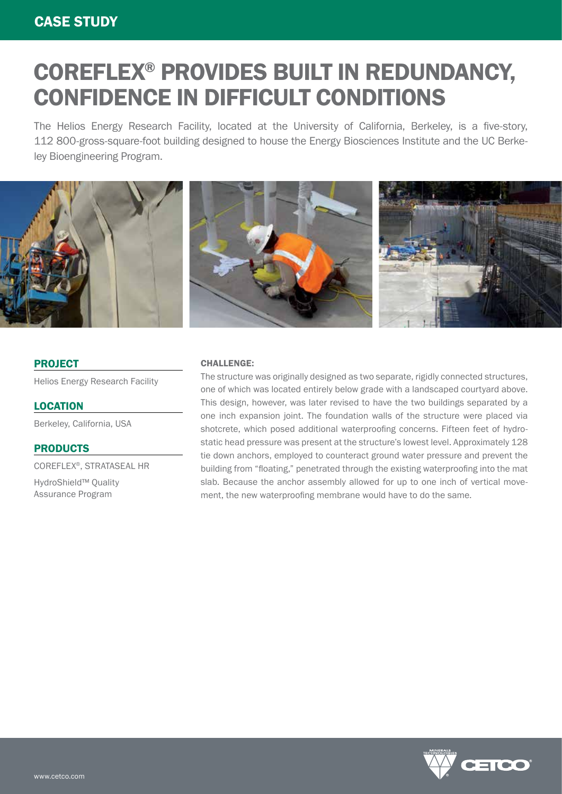# COREFLEX® PROVIDES BUILT IN REDUNDANCY, CONFIDENCE IN DIFFICULT CONDITIONS

The Helios Energy Research Facility, located at the University of California, Berkeley, is a five-story, 112 800-gross-square-foot building designed to house the Energy Biosciences Institute and the UC Berkeley Bioengineering Program.



### PROJECT

Helios Energy Research Facility

### **LOCATION**

Berkeley, California, USA

### PRODUCTS

COREFLEX®, STRATASEAL HR

HydroShield™ Quality Assurance Program

#### CHALLENGE:

The structure was originally designed as two separate, rigidly connected structures, one of which was located entirely below grade with a landscaped courtyard above. This design, however, was later revised to have the two buildings separated by a one inch expansion joint. The foundation walls of the structure were placed via shotcrete, which posed additional waterproofing concerns. Fifteen feet of hydrostatic head pressure was present at the structure's lowest level. Approximately 128 tie down anchors, employed to counteract ground water pressure and prevent the building from "floating," penetrated through the existing waterproofing into the mat slab. Because the anchor assembly allowed for up to one inch of vertical movement, the new waterproofing membrane would have to do the same.